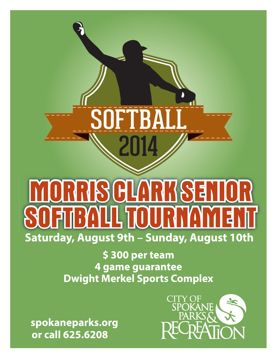# IR SE<br>1  $\mathbf{P}$  $\sum_{i=1}^{n}$  $\blacktriangle$ Saturday, August 9th - Sunday, August 10th

\$300 per team 4 game guarantee **Dwight Merkel Sports Complex** 

spokaneparks.org or call 625.6208

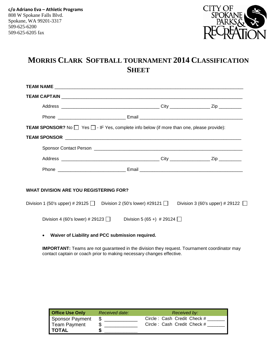

## **MORRIS CLARK SOFTBALL TOURNAMENT 2014 CLASSIFICATION SHEET**

|                                               | <b>TEAM SPONSOR?</b> No $\Box$ Yes $\Box$ - IF Yes, complete info below (if more than one, please provide): |                                        |
|-----------------------------------------------|-------------------------------------------------------------------------------------------------------------|----------------------------------------|
|                                               |                                                                                                             |                                        |
|                                               |                                                                                                             |                                        |
|                                               |                                                                                                             |                                        |
|                                               |                                                                                                             |                                        |
|                                               |                                                                                                             |                                        |
| <b>WHAT DIVISION ARE YOU REGISTERING FOR?</b> |                                                                                                             |                                        |
|                                               | Division 1 (50's upper) # 29125 Division 2 (50's lower) #29121 $\Box$                                       | Division 3 (60's upper) # 29122 $\Box$ |
| Division 4 (60's lower) # 29123 $\Box$        | Division 5 (65 +) # 29124 $\Box$                                                                            |                                        |
|                                               |                                                                                                             |                                        |

• **Waiver of Liability and PCC submission required.**

**IMPORTANT:** Teams are not guaranteed in the division they request. Tournament coordinator may contact captain or coach prior to making necessary changes effective.

| <b>Office Use Only</b>         | Received date: | Received by:                |
|--------------------------------|----------------|-----------------------------|
| Sponsor Payment                |                | Circle: Cash Credit Check # |
| Team Payment<br><b>I TOTAL</b> |                | Circle: Cash Credit Check # |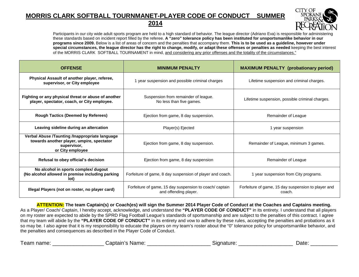#### **MORRIS CLARK SOFTBALL TOURNMANET-PLAYER CODE OF CONDUCT SUMMER 2014**



Participants in our city wide adult sports program are held to a high standard of behavior. The league director (Adriano Eva) is responsible for administering these standards based on incident report filled by the referee. **A "zero" tolerance policy has been instituted for unsportsmanlike behavior in our programs since 2009.** Below is a list of areas of concern and the penalties that accompany them. **This is to be used as a guideline, however under special circumstances, the league director has the right to change, modify, or adapt these offenses or penalties as needed** keeping the best interest of the MORRIS CLARK SOFTBALL TOURNAMENT in mind, and considering any prior offenses and the totality of the circumstances."

| <b>OFFENSE</b>                                                                                                                 | <b>MINIMUM PENALTY</b>                                                           | <b>MAXIMUM PENALTY (probationary period)</b>                  |
|--------------------------------------------------------------------------------------------------------------------------------|----------------------------------------------------------------------------------|---------------------------------------------------------------|
| Physical Assault of another player, referee,<br>supervisor, or City employee                                                   | 1 year suspension and possible criminal charges                                  | Lifetime suspension and criminal charges.                     |
| Fighting or any physical threat or abuse of another<br>player, spectator, coach, or City employee.                             | Suspension from remainder of league.<br>No less than five games.                 | Lifetime suspension, possible criminal charges.               |
| <b>Rough Tactics (Deemed by Referees)</b>                                                                                      | Ejection from game, 8 day suspension.                                            | Remainder of League                                           |
| Leaving sideline during an altercation                                                                                         | Player(s) Ejected                                                                | 1 year suspension                                             |
| Verbal Abuse /Taunting /Inappropriate language<br>towards another player, umpire, spectator<br>supervisor,<br>or City employee | Ejection from game, 8 day suspension.                                            | Remainder of League, minimum 3 games.                         |
| Refusal to obey official's decision                                                                                            | Ejection from game, 8 day suspension                                             | Remainder of League                                           |
| No alcohol in sports complex/ dugout<br>(No alcohol allowed in premise including parking<br>lot)                               | Forfeiture of game, 8 day suspension of player and coach.                        | 1 year suspension from City programs.                         |
| Illegal Players (not on roster, no player card)                                                                                | Forfeiture of game, 15 day suspension to coach/ captain<br>and offending player. | Forfeiture of game, 15 day suspension to player and<br>coach. |

**ATTENTION: The team Captain(s) or Coach(es) will sign the Summer 2014 Player Code of Conduct at the Coaches and Captains meeting.**  As a Player/ Coach/ Captain, I hereby accept, acknowledge, and understand the **"PLAYER CODE OF CONDUCT"** in its entirety. I understand that all players on my roster are expected to abide by the SPRD Flag Football League's standards of sportsmanship and are subject to the penalties of this contract. I agree that my team will abide by the **"PLAYER CODE OF CONDUCT"** in its entirety and vow to adhere by these rules, accepting the penalties and probations as it so may be. I also agree that it is my responsibility to educate the players on my team's roster about the "0" tolerance policy for unsportsmanlike behavior, and the penalties and consequences as described in the Player Code of Conduct.

| Team name: | Captain's Name: | signature: | ⊃ate |
|------------|-----------------|------------|------|
|------------|-----------------|------------|------|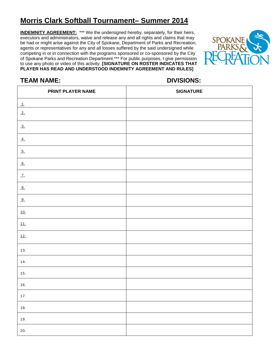## **Morris Clark Softball Tournament– Summer 2014**

**INDEMNITY AGREEMENT:** \*\*\* We the undersigned hereby, separately, for their heirs, executors and administrators, waive and release any and all rights and claims that may be had or might arise against the City of Spokane, Department of Parks and Recreation, agents or representatives for any and all losses suffered by the said undersigned while competing in or in connection with the programs sponsored or co-sponsored by the City of Spokane Parks and Recreation Department.\*\*\* For public purposes, I give permission to use any photo or video of this activity. **[SIGNATURE ON ROSTER INDICATES THAT PLAYER HAS READ AND UNDERSTOOD INDEMNITY AGREEMENT AND RULES]**



### **TEAM NAME: DIVISIONS:**

| PRINT PLAYER NAME    | <b>SIGNATURE</b> |
|----------------------|------------------|
| $\frac{1}{\sqrt{2}}$ |                  |
| 2.                   |                  |
| 3.                   |                  |
| $\overline{4}$ .     |                  |
| 5.                   |                  |
| 6.                   |                  |
| $\mathcal{I}$ .      |                  |
| 8.                   |                  |
| 9.                   |                  |
| 10.                  |                  |
| 11.                  |                  |
| 12.                  |                  |
| 13.                  |                  |
| 14.                  |                  |
| 15.                  |                  |
| 16.                  |                  |
| $17.$                |                  |
| 18.                  |                  |
| $19.$                |                  |
| $20.$                |                  |